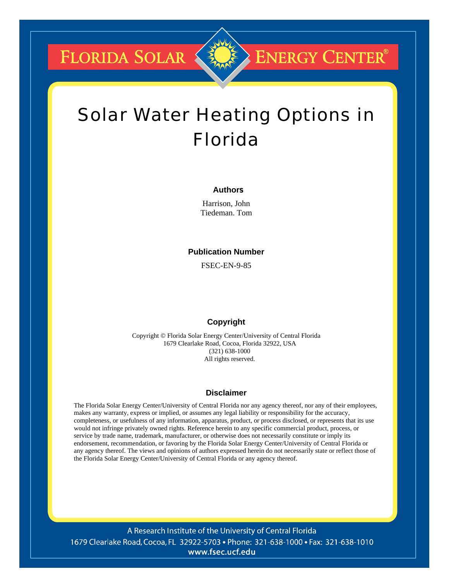**FLORIDA SOLAR &** 

## **ENERGY CENTER®**

## Solar Water Heating Options in Florida

#### **Authors**

Harrison, John Tiedeman. Tom

#### **Publication Number**

FSEC-EN-9-85

#### **Copyright**

Copyright © Florida Solar Energy Center/University of Central Florida 1679 Clearlake Road, Cocoa, Florida 32922, USA (321) 638-1000 All rights reserved.

#### **Disclaimer**

The Florida Solar Energy Center/University of Central Florida nor any agency thereof, nor any of their employees, makes any warranty, express or implied, or assumes any legal liability or responsibility for the accuracy, completeness, or usefulness of any information, apparatus, product, or process disclosed, or represents that its use would not infringe privately owned rights. Reference herein to any specific commercial product, process, or service by trade name, trademark, manufacturer, or otherwise does not necessarily constitute or imply its endorsement, recommendation, or favoring by the Florida Solar Energy Center/University of Central Florida or any agency thereof. The views and opinions of authors expressed herein do not necessarily state or reflect those of the Florida Solar Energy Center/University of Central Florida or any agency thereof.

A Research Institute of the University of Central Florida 1679 Clearlake Road, Cocoa, FL 32922-5703 • Phone: 321-638-1000 • Fax: 321-638-1010 www.fsec.ucf.edu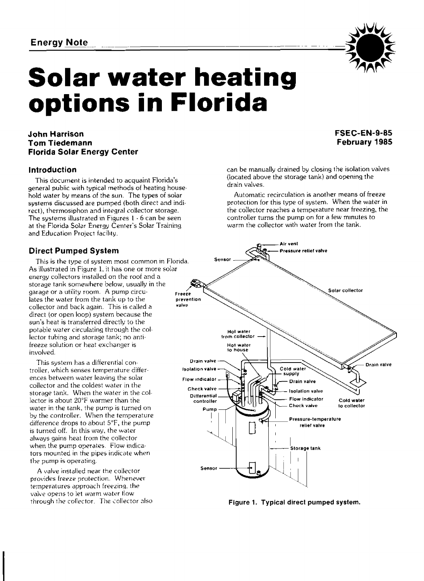# Energy Note<br> **Solar water heating options in Florida**

#### **John Harrison Tom Tiedemann Florida Solar Energy Center**

#### **Introduction**

This **document is intended** to acquaint Florida's general public with typical methods of heating household **water** by means of **the sut~. The types of** solar **systems** discussed **are** pumped (both direct and indirect), thermosiphon and integral collector storage. The **systems** illustrated in Figures 1 - **6** can **be** seen at the Florida Solar Energy **Cen:er's** Solar Training and Education Project facility.

This is the type of system most common in Florida. **As illustrated in Figure** 1, it has one or **more** solar energy collectors installed on the roof and a storage tank **somewhere** below, usually **in** the garage or a utility **roorn. A** pump circu**lates** the water from the tank up to the **collector** and **back** again. This is called a direct {or open loop) system because the sun's heat **is** transferred directly to the potable water circulating through the collector **tubing** and storage tank; no **anti**freeze solution or heat exchanger **is**  involved.

This system has a differential controller, which senses temperature differ- **isolation valve ences between water leaving the solar <b>FIOW reduced FIOW** reduced or collector and the coldest **water** in **the**  lector is about 20°F warmer than the water in the tank, the pump is turned on<br>by the controller. When the temperature is turned off. In **this** way. the **water**  always gains heat from the collector when the pump operates. Flow indicators mounted in the pipes indicate when the pump is operating.

**A valve** installed near **the** collector provides freeze protection. Whenever temperatures approach freezing, the valve opens to let warm water flow<br>through the collector. The collector also

### **FSEC-EN-9-85 February 1985**

can be manually drained by closing the isolation **valves**  (located above **the storage tank)** and opening the drain values.

Automatic recirculation is another means of freeze protection for **this type** of system. **When the** water in the collector reaches a **temperature near freezing, the**  controller turns the pump on for a few minutes to warm the collector with water from the tank.



Figure 1. Typical direct pumped system.

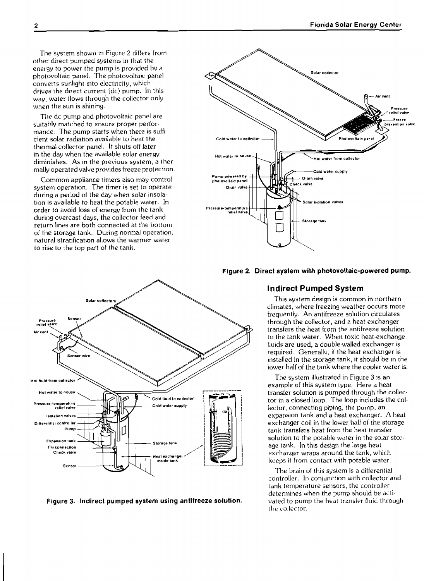The system shown in Figure 2 differs from other direct pumped systems in that **the**  energy to power the pump **is provtdcd** by a photovvltaic panel. The photovoltaic panel converts sunlight into electricity, which drives the direct current (dc) pump. In this way, **water flows** through **the** collector only when **the** sun is shining.

The dc pump and photovoltaic panel are suitably matched to ensure proper performance. The pump starts when there is sufficient solar radiation available to heat the thermal collector panel. It shuts off later in the day when the available solar energy diminishes. **As** In **the** previous system, **a** thermally operated **valve** provides freeze protection.

Common **appliance** timers also **may** control system operation. The timer **is** set to operate during a period of the **day** when solar insolation is available to heat the potable water. In **order** to avoid loss of energy from the tank during overcast days, the collector feed and return lines are both connected at the bottom of the storage tank. During normal operation, natural stratification allows the warmer water to rise to the top part **of** the tank.





#### **Indirect Pumped System**

This system design is common in northern **climates,** where freezing weather occurs more trequently. **An** antifreeze solution circulates through the collector, and a heat exchanger transfers **the** heat from **the** antifreeze solution to the tank water. When toxic **heat-exchange**  fluids are used, a double-walled exchanger is **I-equired.** Generallu, if the heat exchanger is installed in the storage tank, it should be in the lower half of the tank where the cooler water is.

example of **thls** system type. Here a heat tor in a closed loop. The loop includes the collector, connecting piping, the **pump,** an tank transfers heat from the heat transfer exchanger wraps around **the** tank, which keeps it from contact with potable water.

controller. In conjunction with collector and tank temperature sensors, the controller determines when the pump should be activated to pump the heat transfer fluid through the collector.



Figure 3. Indirect pumped system using antifreeze solution.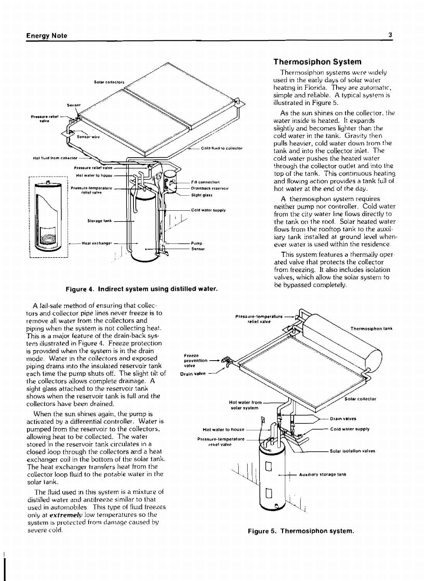

be bypassed completely. **Figure 4. Indirect system using distilled water.** 

**A** fail-sate method of ensuring that collectors and collector pipe lines never freeze is to remove all water **from the** collectors and **piping** when the **system** is not collecting heat. This is a major feature of the drain-back system **~Hustrated** in Figure **4.** Freeze protection is provided when the system is in the drain **iiiode. Water** in **the** co\lectors and **exposed**  piping drains **Into** the insulated reservoir tank each time the pump shuts off. The slight tilt of the collectors allows complete **dralnage. A**  sight glass attached to the reservoir **lank shows when** the reservoir tank is full and **the**  collectors have been drained.

When the sun shines again, the pump is activated by a differential controller. Water is pumped from the reservoir to the collectors, allowing heat to **be** collected. The **water**  stored in the reservoir tank circulates in a closed loop through the collectors and a **heal**  exchanger **coil** in the bottom of the solar tank. The **heat** exchanger transfers hedt from the col!ector loop fluid to the potable water in the solar **tank.** 

The flu~d used in **th~s** system is **a** mixture of distilled water and antifreeze similar to that used in automobiles. This type of fluid freezes only at *extremely* low temperatures so the system is protected from damage caused by severe cold.

#### **Thermosiphon System**

Thermosiphon systems were widely used in **the** early days of **solar** water heating in Florida. They are automatic, simple and reliable. **A** typical **systcni is**  illustrated in Figure *5.* 

**As** the sun **shines** on the collector, the water inside is heated. It expands slightly and becomes lighter than the cold water in the tank. Gravity then pulls **heavier,** cold water **down** from the tank and into the collector inlet. The through the collector outlet and into the top of the tank. This continuous heating **FIII conneciron and** fluw~ng **action a tank** full ot

**A** thermosiphon **systern** requires **Cold water supply** neither pump nor controlter. Cold water from the city **water** line flaws directly to the tank **on the** roof. Sojar heated water flows **from the** rooftop **tank** to **the** auxiliary tank installed at ground level whenever **water is** used within the residence.

> This system features a thermally **oper**ated **valve** that protects the collector from freezing. It also includes isolation valves, which allow the solar system to



**Figure 5. Thermosiphon system.**